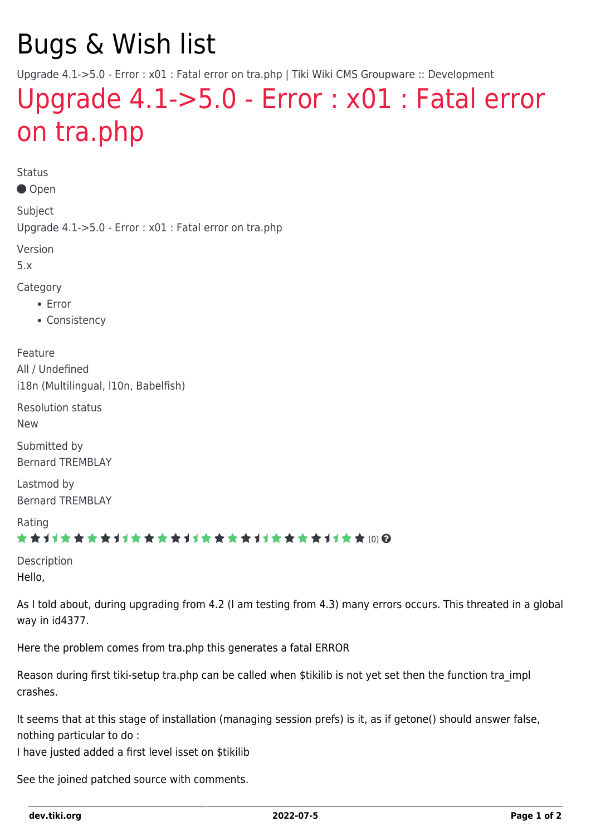# Bugs & Wish list

Upgrade 4.1->5.0 - Error : x01 : Fatal error on tra.php | Tiki Wiki CMS Groupware :: Development

## [Upgrade 4.1->5.0 - Error : x01 : Fatal error](https://dev.tiki.org/item3481--Upgrade-4-1-5-0-Error-x01-Fatal-error-on-tra-php) [on tra.php](https://dev.tiki.org/item3481--Upgrade-4-1-5-0-Error-x01-Fatal-error-on-tra-php)

Status

Open

Subject Upgrade 4.1->5.0 - Error : x01 : Fatal error on tra.php

Version

5.x

Category

- Error
- Consistency

Feature All / Undefined i18n (Multilingual, l10n, Babelfish)

Resolution status

New

Submitted by Bernard TREMBLAY

Lastmod by Bernard TREMBLAY

Rating

#### \*\*\*\*\*\*\*\*\*\*\*\*\*\*\*\*\*\*\*\*\*\*\*\*\*\*\*\*\*\*

Description Hello,

As I told about, during upgrading from 4.2 (I am testing from 4.3) many errors occurs. This threated in a global way in id4377.

Here the problem comes from tra.php this generates a fatal ERROR

Reason during first tiki-setup tra.php can be called when \$tikilib is not yet set then the function tra\_impl crashes.

It seems that at this stage of installation (managing session prefs) is it, as if getone() should answer false, nothing particular to do :

I have justed added a first level isset on \$tikilib

See the joined patched source with comments.